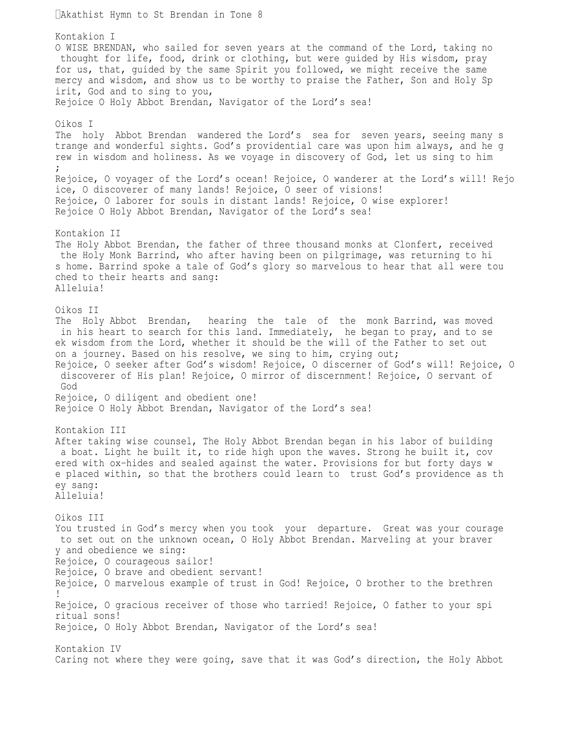Akathist Hymn to St Brendan in Tone 8 Kontakion I O WISE BRENDAN, who sailed for seven years at the command of the Lord, taking no thought for life, food, drink or clothing, but were guided by His wisdom, pray for us, that, guided by the same Spirit you followed, we might receive the same mercy and wisdom, and show us to be worthy to praise the Father, Son and Holy Sp irit, God and to sing to you, Rejoice O Holy Abbot Brendan, Navigator of the Lord's sea! Oikos I The holy Abbot Brendan wandered the Lord's sea for seven years, seeing many s trange and wonderful sights. God's providential care was upon him always, and he g rew in wisdom and holiness. As we voyage in discovery of God, let us sing to him ; Rejoice, O voyager of the Lord's ocean! Rejoice, O wanderer at the Lord's will! Rejo ice, O discoverer of many lands! Rejoice, O seer of visions! Rejoice, O laborer for souls in distant lands! Rejoice, O wise explorer! Rejoice O Holy Abbot Brendan, Navigator of the Lord's sea! Kontakion II The Holy Abbot Brendan, the father of three thousand monks at Clonfert, received the Holy Monk Barrind, who after having been on pilgrimage, was returning to hi s home. Barrind spoke a tale of God's glory so marvelous to hear that all were tou ched to their hearts and sang: Alleluia! Oikos II The Holy Abbot Brendan, hearing the tale of the monk Barrind, was moved in his heart to search for this land. Immediately, he began to pray, and to se ek wisdom from the Lord, whether it should be the will of the Father to set out on a journey. Based on his resolve, we sing to him, crying out; Rejoice, O seeker after God's wisdom! Rejoice, O discerner of God's will! Rejoice, O discoverer of His plan! Rejoice, O mirror of discernment! Rejoice, O servant of God Rejoice, O diligent and obedient one! Rejoice O Holy Abbot Brendan, Navigator of the Lord's sea! Kontakion III After taking wise counsel, The Holy Abbot Brendan began in his labor of building a boat. Light he built it, to ride high upon the waves. Strong he built it, cov ered with ox-hides and sealed against the water. Provisions for but forty days w e placed within, so that the brothers could learn to trust God's providence as th ey sang: Alleluia! Oikos III You trusted in God's mercy when you took your departure. Great was your courage to set out on the unknown ocean, O Holy Abbot Brendan. Marveling at your braver y and obedience we sing: Rejoice, O courageous sailor! Rejoice, O brave and obedient servant! Rejoice, O marvelous example of trust in God! Rejoice, O brother to the brethren ! Rejoice, O gracious receiver of those who tarried! Rejoice, O father to your spi ritual sons! Rejoice, O Holy Abbot Brendan, Navigator of the Lord's sea! Kontakion IV Caring not where they were going, save that it was God's direction, the Holy Abbot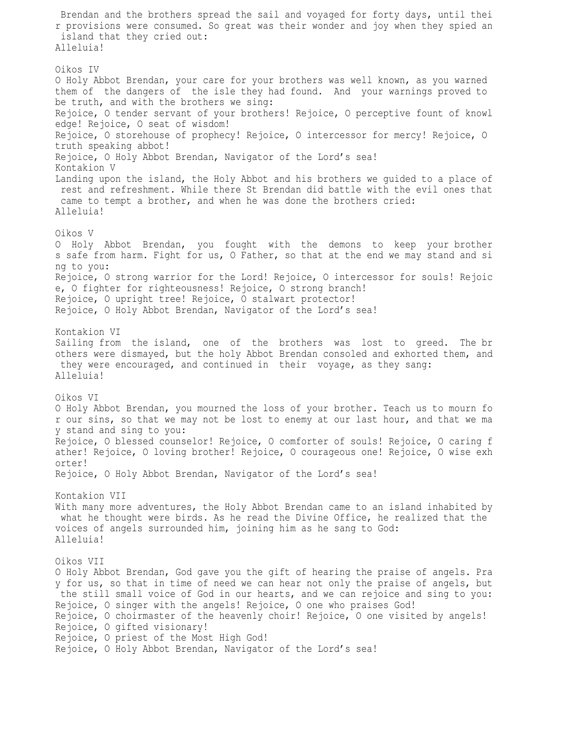Brendan and the brothers spread the sail and voyaged for forty days, until thei r provisions were consumed. So great was their wonder and joy when they spied an island that they cried out: Alleluia! Oikos IV O Holy Abbot Brendan, your care for your brothers was well known, as you warned them of the dangers of the isle they had found. And your warnings proved to be truth, and with the brothers we sing: Rejoice, O tender servant of your brothers! Rejoice, O perceptive fount of knowl edge! Rejoice, O seat of wisdom! Rejoice, O storehouse of prophecy! Rejoice, O intercessor for mercy! Rejoice, O truth speaking abbot! Rejoice, O Holy Abbot Brendan, Navigator of the Lord's sea! Kontakion V Landing upon the island, the Holy Abbot and his brothers we guided to a place of rest and refreshment. While there St Brendan did battle with the evil ones that came to tempt a brother, and when he was done the brothers cried: Alleluia! Oikos V O Holy Abbot Brendan, you fought with the demons to keep your brother s safe from harm. Fight for us, O Father, so that at the end we may stand and si ng to you: Rejoice, O strong warrior for the Lord! Rejoice, O intercessor for souls! Rejoic e, O fighter for righteousness! Rejoice, O strong branch! Rejoice, O upright tree! Rejoice, O stalwart protector! Rejoice, O Holy Abbot Brendan, Navigator of the Lord's sea! Kontakion VI Sailing from the island, one of the brothers was lost to greed. The br others were dismayed, but the holy Abbot Brendan consoled and exhorted them, and they were encouraged, and continued in their voyage, as they sang: Alleluia! Oikos VI O Holy Abbot Brendan, you mourned the loss of your brother. Teach us to mourn fo r our sins, so that we may not be lost to enemy at our last hour, and that we ma y stand and sing to you: Rejoice, O blessed counselor! Rejoice, O comforter of souls! Rejoice, O caring f ather! Rejoice, O loving brother! Rejoice, O courageous one! Rejoice, O wise exh orter! Rejoice, O Holy Abbot Brendan, Navigator of the Lord's sea! Kontakion VII With many more adventures, the Holy Abbot Brendan came to an island inhabited by what he thought were birds. As he read the Divine Office, he realized that the voices of angels surrounded him, joining him as he sang to God: Alleluia! Oikos VII O Holy Abbot Brendan, God gave you the gift of hearing the praise of angels. Pra y for us, so that in time of need we can hear not only the praise of angels, but the still small voice of God in our hearts, and we can rejoice and sing to you: Rejoice, O singer with the angels! Rejoice, O one who praises God! Rejoice, O choirmaster of the heavenly choir! Rejoice, O one visited by angels! Rejoice, O gifted visionary! Rejoice, O priest of the Most High God! Rejoice, O Holy Abbot Brendan, Navigator of the Lord's sea!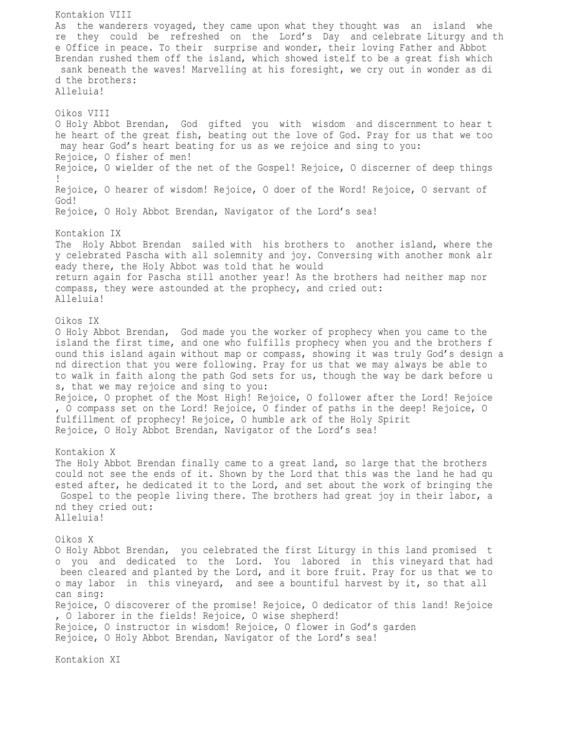Kontakion VIII As the wanderers voyaged, they came upon what they thought was an island whe re they could be refreshed on the Lord's Day and celebrate Liturgy and th e Office in peace. To their surprise and wonder, their loving Father and Abbot Brendan rushed them off the island, which showed istelf to be a great fish which sank beneath the waves! Marvelling at his foresight, we cry out in wonder as di d the brothers: Alleluia! Oikos VIII O Holy Abbot Brendan, God gifted you with wisdom and discernment to hear t he heart of the great fish, beating out the love of God. Pray for us that we too may hear God's heart beating for us as we rejoice and sing to you: Rejoice, O fisher of men! Rejoice, O wielder of the net of the Gospel! Rejoice, O discerner of deep things ! Rejoice, O hearer of wisdom! Rejoice, O doer of the Word! Rejoice, O servant of God! Rejoice, O Holy Abbot Brendan, Navigator of the Lord's sea! Kontakion IX The Holy Abbot Brendan sailed with his brothers to another island, where the y celebrated Pascha with all solemnity and joy. Conversing with another monk alr eady there, the Holy Abbot was told that he would return again for Pascha still another year! As the brothers had neither map nor compass, they were astounded at the prophecy, and cried out: Alleluia! Oikos IX O Holy Abbot Brendan, God made you the worker of prophecy when you came to the island the first time, and one who fulfills prophecy when you and the brothers f ound this island again without map or compass, showing it was truly God's design a nd direction that you were following. Pray for us that we may always be able to to walk in faith along the path God sets for us, though the way be dark before u s, that we may rejoice and sing to you: Rejoice, O prophet of the Most High! Rejoice, O follower after the Lord! Rejoice , O compass set on the Lord! Rejoice, O finder of paths in the deep! Rejoice, O fulfillment of prophecy! Rejoice, O humble ark of the Holy Spirit Rejoice, O Holy Abbot Brendan, Navigator of the Lord's sea! Kontakion X The Holy Abbot Brendan finally came to a great land, so large that the brothers could not see the ends of it. Shown by the Lord that this was the land he had qu ested after, he dedicated it to the Lord, and set about the work of bringing the Gospel to the people living there. The brothers had great joy in their labor, a nd they cried out: Alleluia! Oikos X O Holy Abbot Brendan, you celebrated the first Liturgy in this land promised t o you and dedicated to the Lord. You labored in this vineyard that had been cleared and planted by the Lord, and it bore fruit. Pray for us that we to o may labor in this vineyard, and see a bountiful harvest by it, so that all can sing: Rejoice, O discoverer of the promise! Rejoice, O dedicator of this land! Rejoice , O laborer in the fields! Rejoice, O wise shepherd! Rejoice, O instructor in wisdom! Rejoice, O flower in God's garden Rejoice, O Holy Abbot Brendan, Navigator of the Lord's sea!

Kontakion XI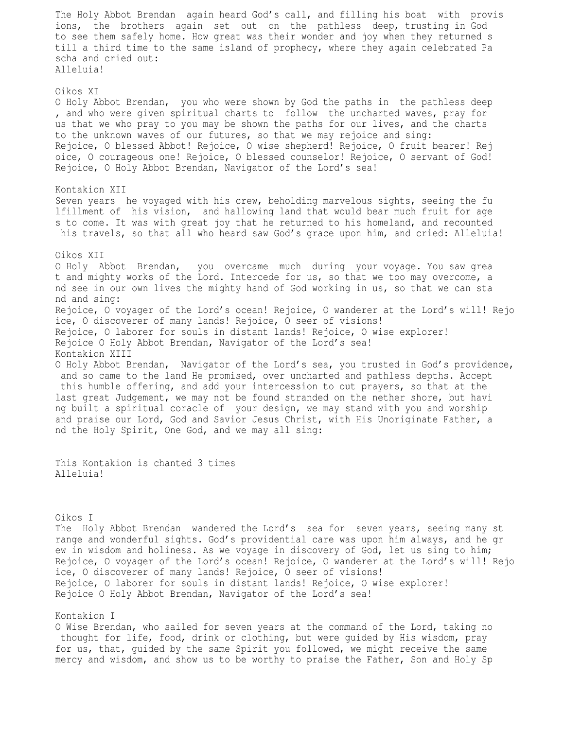The Holy Abbot Brendan again heard God's call, and filling his boat with provis ions, the brothers again set out on the pathless deep, trusting in God to see them safely home. How great was their wonder and joy when they returned s till a third time to the same island of prophecy, where they again celebrated Pa scha and cried out: Alleluia! Oikos XI O Holy Abbot Brendan, you who were shown by God the paths in the pathless deep , and who were given spiritual charts to follow the uncharted waves, pray for us that we who pray to you may be shown the paths for our lives, and the charts to the unknown waves of our futures, so that we may rejoice and sing: Rejoice, O blessed Abbot! Rejoice, O wise shepherd! Rejoice, O fruit bearer! Rej oice, O courageous one! Rejoice, O blessed counselor! Rejoice, O servant of God! Rejoice, O Holy Abbot Brendan, Navigator of the Lord's sea! Kontakion XII Seven years he voyaged with his crew, beholding marvelous sights, seeing the fu lfillment of his vision, and hallowing land that would bear much fruit for age s to come. It was with great joy that he returned to his homeland, and recounted his travels, so that all who heard saw God's grace upon him, and cried: Alleluia! Oikos XII O Holy Abbot Brendan, you overcame much during your voyage. You saw grea t and mighty works of the Lord. Intercede for us, so that we too may overcome, a nd see in our own lives the mighty hand of God working in us, so that we can sta nd and sing: Rejoice, O voyager of the Lord's ocean! Rejoice, O wanderer at the Lord's will! Rejo ice, O discoverer of many lands! Rejoice, O seer of visions! Rejoice, O laborer for souls in distant lands! Rejoice, O wise explorer! Rejoice O Holy Abbot Brendan, Navigator of the Lord's sea! Kontakion XIII O Holy Abbot Brendan, Navigator of the Lord's sea, you trusted in God's providence, and so came to the land He promised, over uncharted and pathless depths. Accept this humble offering, and add your intercession to out prayers, so that at the last great Judgement, we may not be found stranded on the nether shore, but havi ng built a spiritual coracle of your design, we may stand with you and worship and praise our Lord, God and Savior Jesus Christ, with His Unoriginate Father, a nd the Holy Spirit, One God, and we may all sing:

This Kontakion is chanted 3 times Alleluia!

Oikos I

The Holy Abbot Brendan wandered the Lord's sea for seven years, seeing many st range and wonderful sights. God's providential care was upon him always, and he gr ew in wisdom and holiness. As we voyage in discovery of God, let us sing to him; Rejoice, O voyager of the Lord's ocean! Rejoice, O wanderer at the Lord's will! Rejo ice, O discoverer of many lands! Rejoice, O seer of visions! Rejoice, O laborer for souls in distant lands! Rejoice, O wise explorer! Rejoice O Holy Abbot Brendan, Navigator of the Lord's sea!

## Kontakion I

O Wise Brendan, who sailed for seven years at the command of the Lord, taking no thought for life, food, drink or clothing, but were guided by His wisdom, pray for us, that, guided by the same Spirit you followed, we might receive the same mercy and wisdom, and show us to be worthy to praise the Father, Son and Holy Sp